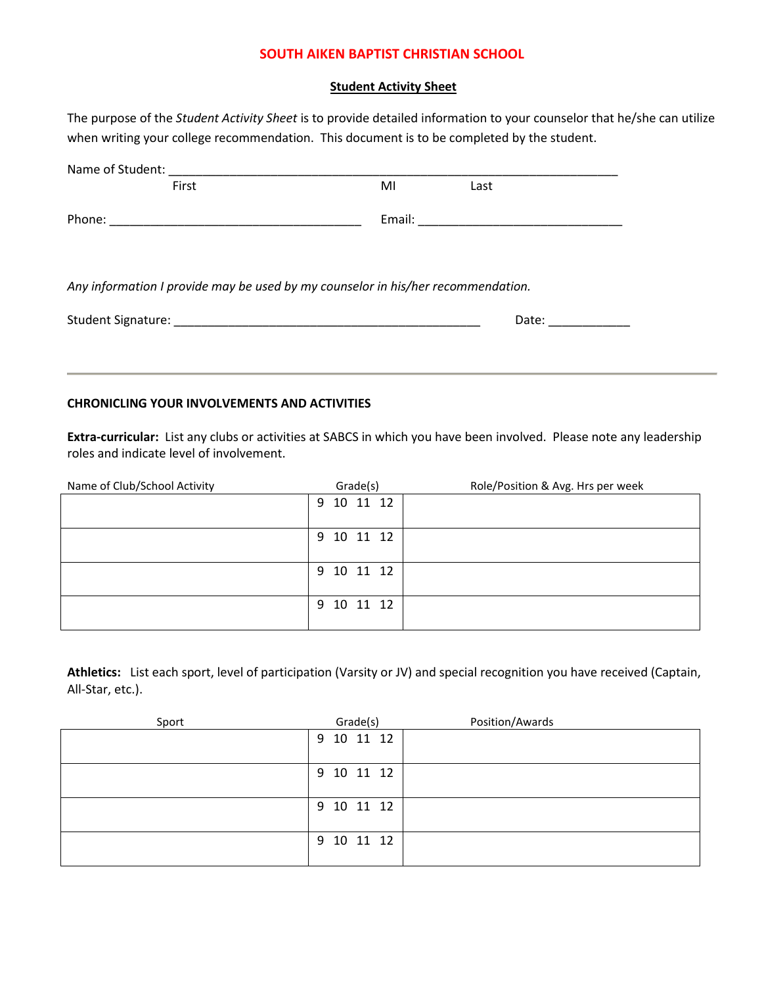## **SOUTH AIKEN BAPTIST CHRISTIAN SCHOOL**

## **Student Activity Sheet**

The purpose of the *Student Activity Sheet* is to provide detailed information to your counselor that he/she can utilize when writing your college recommendation. This document is to be completed by the student.

| First                                                                            | MI | Last |  |
|----------------------------------------------------------------------------------|----|------|--|
|                                                                                  |    |      |  |
|                                                                                  |    |      |  |
| Any information I provide may be used by my counselor in his/her recommendation. |    |      |  |
|                                                                                  |    |      |  |

## **CHRONICLING YOUR INVOLVEMENTS AND ACTIVITIES**

**Extra-curricular:** List any clubs or activities at SABCS in which you have been involved. Please note any leadership roles and indicate level of involvement.

| Name of Club/School Activity | Grade(s)      | Role/Position & Avg. Hrs per week |
|------------------------------|---------------|-----------------------------------|
|                              | 10 11 12<br>9 |                                   |
|                              |               |                                   |
|                              | 9 10 11 12    |                                   |
|                              | 9 10 11 12    |                                   |
|                              | 10 11 12<br>9 |                                   |

**Athletics:** List each sport, level of participation (Varsity or JV) and special recognition you have received (Captain, All-Star, etc.).

| Sport | Grade(s)   | Position/Awards |
|-------|------------|-----------------|
|       | 9 10 11 12 |                 |
|       | 9 10 11 12 |                 |
|       | 9 10 11 12 |                 |
|       | 9 10 11 12 |                 |